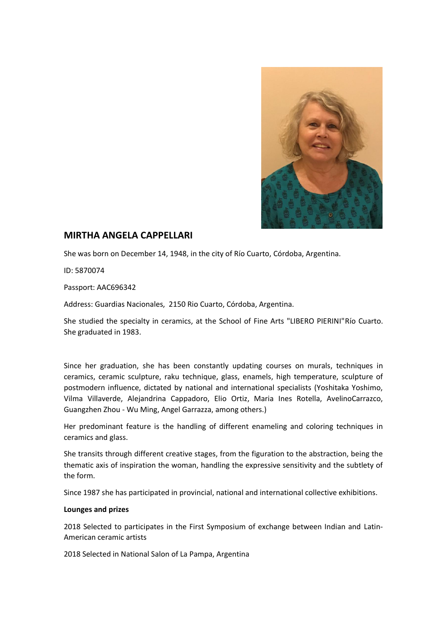

## **MIRTHA ANGELA CAPPELLARI**

She was born on December 14, 1948, in the city of Río Cuarto, Córdoba, Argentina.

ID: 5870074

Passport: AAC696342

Address: Guardias Nacionales, 2150 Rio Cuarto, Córdoba, Argentina.

She studied the specialty in ceramics, at the School of Fine Arts "LIBERO PIERINI"Río Cuarto. She graduated in 1983.

Since her graduation, she has been constantly updating courses on murals, techniques in ceramics, ceramic sculpture, raku technique, glass, enamels, high temperature, sculpture of postmodern influence, dictated by national and international specialists (Yoshitaka Yoshimo, Vilma Villaverde, Alejandrina Cappadoro, Elio Ortiz, Maria Ines Rotella, AvelinoCarrazco, Guangzhen Zhou - Wu Ming, Angel Garrazza, among others.)

Her predominant feature is the handling of different enameling and coloring techniques in ceramics and glass.

She transits through different creative stages, from the figuration to the abstraction, being the thematic axis of inspiration the woman, handling the expressive sensitivity and the subtlety of the form.

Since 1987 she has participated in provincial, national and international collective exhibitions.

## **Lounges and prizes**

2018 Selected to participates in the First Symposium of exchange between Indian and Latin-American ceramic artists

2018 Selected in National Salon of La Pampa, Argentina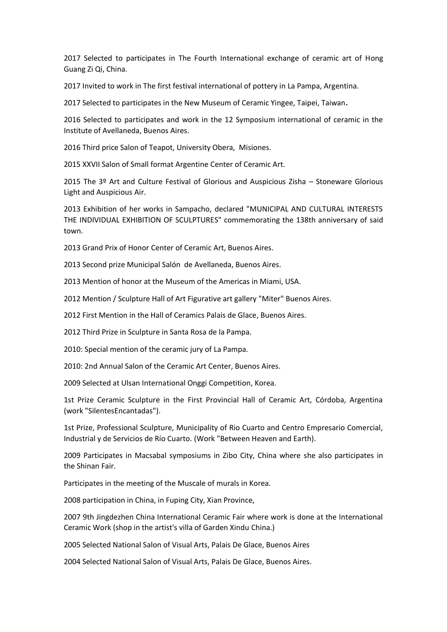2017 Selected to participates in The Fourth International exchange of ceramic art of Hong Guang Zi Qi, China.

2017 Invited to work in The first festival international of pottery in La Pampa, Argentina.

2017 Selected to participates in the New Museum of Ceramic Yingee, Taipei, Taiwan**.**

2016 Selected to participates and work in the 12 Symposium international of ceramic in the Institute of Avellaneda, Buenos Aires.

2016 Third price Salon of Teapot, University Obera, Misiones.

2015 XXVII Salon of Small format Argentine Center of Ceramic Art.

2015 The 3º Art and Culture Festival of Glorious and Auspicious Zisha – Stoneware Glorious Light and Auspicious Air.

2013 Exhibition of her works in Sampacho, declared "MUNICIPAL AND CULTURAL INTERESTS THE INDIVIDUAL EXHIBITION OF SCULPTURES" commemorating the 138th anniversary of said town.

2013 Grand Prix of Honor Center of Ceramic Art, Buenos Aires.

2013 Second prize Municipal Salón de Avellaneda, Buenos Aires.

2013 Mention of honor at the Museum of the Americas in Miami, USA.

2012 Mention / Sculpture Hall of Art Figurative art gallery "Miter" Buenos Aires.

2012 First Mention in the Hall of Ceramics Palais de Glace, Buenos Aires.

2012 Third Prize in Sculpture in Santa Rosa de la Pampa.

2010: Special mention of the ceramic jury of La Pampa.

2010: 2nd Annual Salon of the Ceramic Art Center, Buenos Aires.

2009 Selected at Ulsan International Onggi Competition, Korea.

1st Prize Ceramic Sculpture in the First Provincial Hall of Ceramic Art, Córdoba, Argentina (work "SilentesEncantadas").

1st Prize, Professional Sculpture, Municipality of Rio Cuarto and Centro Empresario Comercial, Industrial y de Servicios de Río Cuarto. (Work "Between Heaven and Earth).

2009 Participates in Macsabal symposiums in Zibo City, China where she also participates in the Shinan Fair.

Participates in the meeting of the Muscale of murals in Korea.

2008 participation in China, in Fuping City, Xian Province,

2007 9th Jingdezhen China International Ceramic Fair where work is done at the International Ceramic Work (shop in the artist's villa of Garden Xindu China.)

2005 Selected National Salon of Visual Arts, Palais De Glace, Buenos Aires

2004 Selected National Salon of Visual Arts, Palais De Glace, Buenos Aires.